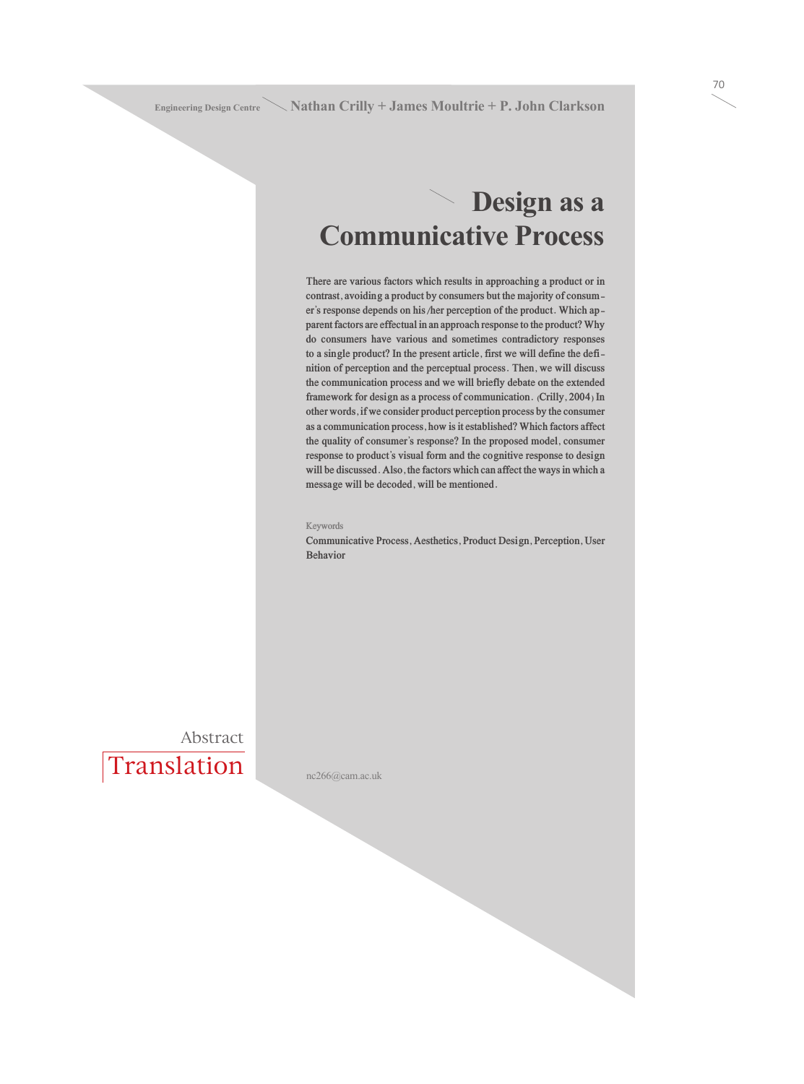### **Design as a Communicative Process**

**There are various factors which results in approaching a product or in contrast, avoiding a product by consumers but the majority of consumer's response depends on his/her perception of the product. Which apparent factors are effectual in an approach response to the product? Why do consumers have various and sometimes contradictory responses to a single product? In the present article, first we will define the definition of perception and the perceptual process. Then, we will discuss the communication process and we will briefly debate on the extended framework for design as a process of communication. (Crilly, 2004) In other words, if we consider product perception process by the consumer as a communication process, how is it established? Which factors affect the quality of consumer's response? In the proposed model, consumer response to product's visual form and the cognitive response to design will be discussed. Also, the factors which can affect the ways in which a message will be decoded, will be mentioned.**

#### **Keywords**

**Communicative Process, Aesthetics, Product Design, Perception, User Behavior**

Abstract

Translation

nc266@cam.ac.uk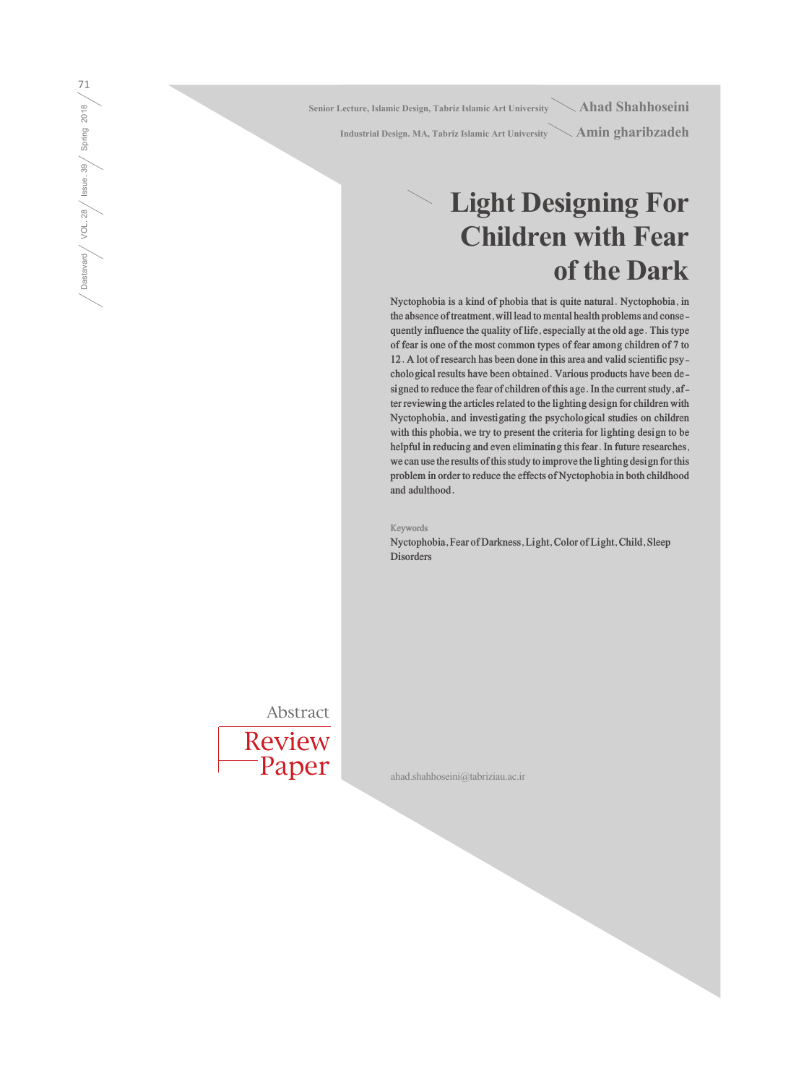**Senior Lecture, Islamic Design, Tabriz Islamic Art University Ahad Shahhoseini Industrial Design. MA, Tabriz Islamic Art University Amin gharibzadeh**

### **Light Designing For Children with Fear of the Dark**

**Nyctophobia is a kind of phobia that is quite natural. Nyctophobia, in the absence of treatment, will lead to mental health problems and consequently influence the quality of life, especially at the old age. This type of fear is one of the most common types of fear among children of 7 to 12. A lot of research has been done in this area and valid scientific psychological results have been obtained. Various products have been designed to reduce the fear of children of this age. In the current study, after reviewing the articles related to the lighting design for children with Nyctophobia, and investigating the psychological studies on children with this phobia, we try to present the criteria for lighting design to be helpful in reducing and even eliminating this fear. In future researches, we can use the results of this study to improve the lighting design for this problem in order to reduce the effects of Nyctophobia in both childhood and adulthood.**

**Keywords**

**Nyctophobia, Fear of Darkness, Light, Color of Light, Child, Sleep Disorders**

Abstract



ahad.shahhoseini@tabriziau.ac.ir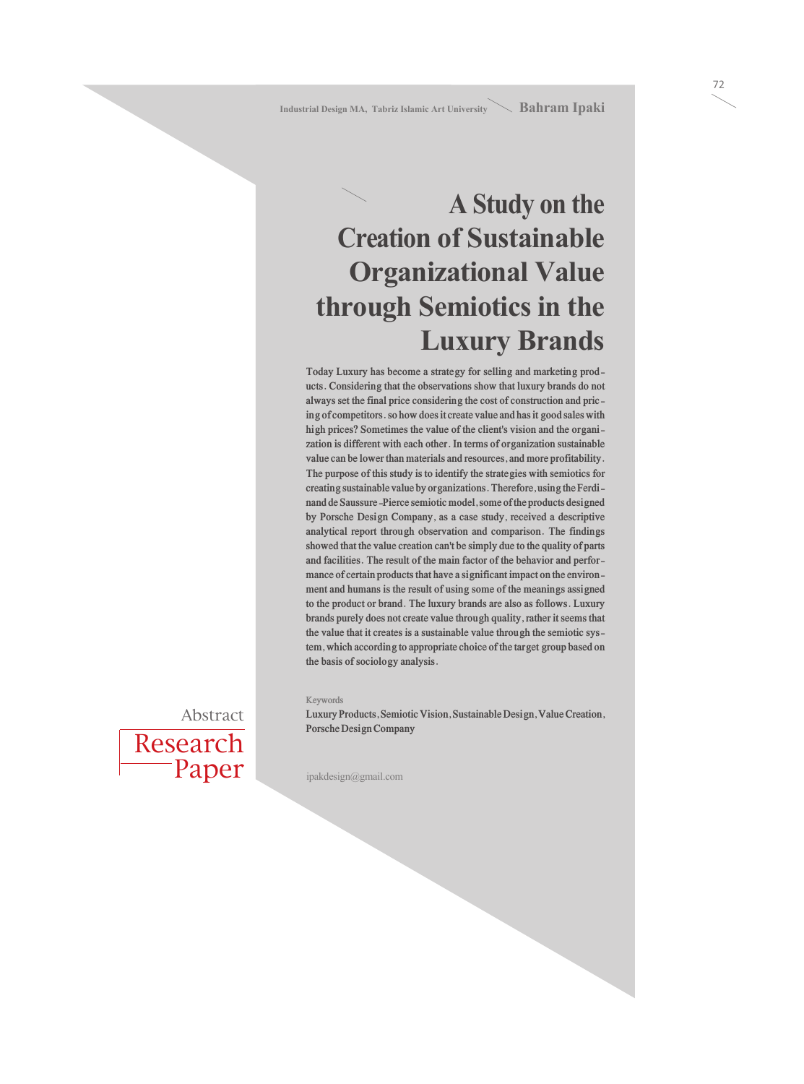# **A Study on the Creation of Sustainable Organizational Value through Semiotics in the Luxury Brands**

**Today Luxury has become a strategy for selling and marketing products. Considering that the observations show that luxury brands do not always set the final price considering the cost of construction and pricing of competitors. so how does it create value and has it good sales with high prices? Sometimes the value of the client's vision and the organization is different with each other. In terms of organization sustainable value can be lower than materials and resources, and more profitability. The purpose of this study is to identify the strategies with semiotics for creating sustainable value by organizations. Therefore, using the Ferdinand de Saussure-Pierce semiotic model, some of the products designed by Porsche Design Company, as a case study, received a descriptive analytical report through observation and comparison. The findings showed that the value creation can't be simply due to the quality of parts and facilities. The result of the main factor of the behavior and performance of certain products that have a significant impact on the environment and humans is the result of using some of the meanings assigned to the product or brand. The luxury brands are also as follows. Luxury brands purely does not create value through quality, rather it seems that the value that it creates is a sustainable value through the semiotic system, which according to appropriate choice of the target group based on the basis of sociology analysis.**

#### **Keywords**

**Luxury Products, Semiotic Vision, Sustainable Design, Value Creation, Porsche Design Company**

Research Paper Abstract

ipakdesign@gmail.com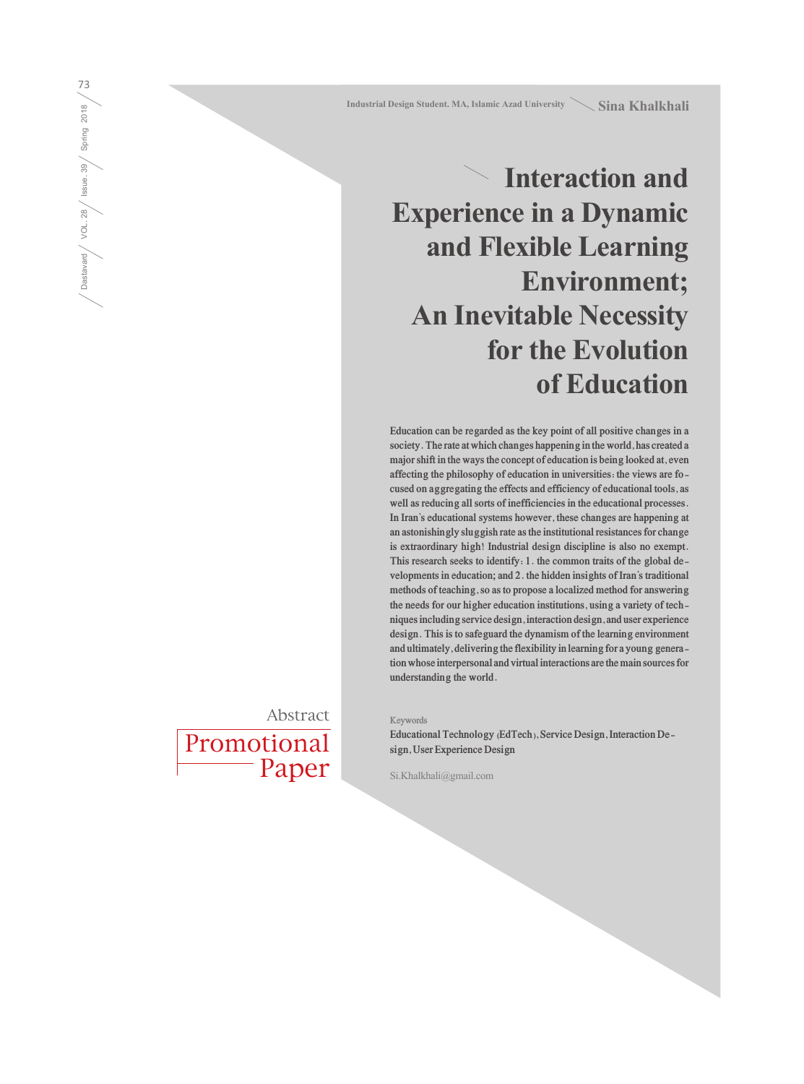**Interaction and Experience in a Dynamic and Flexible Learning Environment; An Inevitable Necessity for the Evolution of Education**

**Education can be regarded as the key point of all positive changes in a society. The rate at which changes happening in the world, has created a major shift in the ways the concept of education is being looked at, even affecting the philosophy of education in universities: the views are focused on aggregating the effects and efficiency of educational tools, as well as reducing all sorts of inefficiencies in the educational processes. In Iran's educational systems however, these changes are happening at an astonishingly sluggish rate as the institutional resistances for change is extraordinary high! Industrial design discipline is also no exempt. This research seeks to identify: 1. the common traits of the global developments in education; and 2. the hidden insights of Iran's traditional methods of teaching, so as to propose a localized method for answering the needs for our higher education institutions, using a variety of techniques including service design, interaction design, and user experience design. This is to safeguard the dynamism of the learning environment and ultimately, delivering the flexibility in learning for a young generation whose interpersonal and virtual interactions are the main sources for understanding the world.**

**Keywords**

**Educational Technology (EdTech), Service Design, Interaction Design, User Experience Design**

Si.Khalkhali@gmail.com

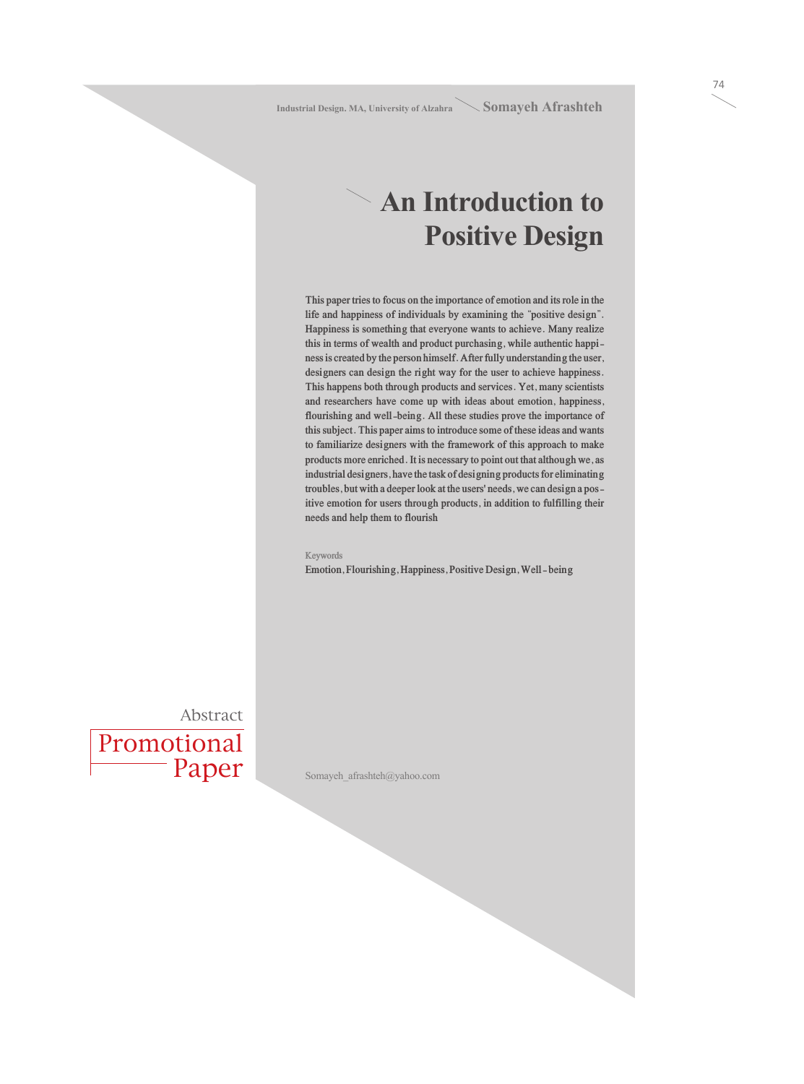## **An Introduction to Positive Design**

**This paper tries to focus on the importance of emotion and its role in the life and happiness of individuals by examining the "positive design". Happiness is something that everyone wants to achieve. Many realize this in terms of wealth and product purchasing, while authentic happiness is created by the person himself. After fully understanding the user, designers can design the right way for the user to achieve happiness. This happens both through products and services. Yet, many scientists and researchers have come up with ideas about emotion, happiness, flourishing and well-being. All these studies prove the importance of this subject. This paper aims to introduce some of these ideas and wants to familiarize designers with the framework of this approach to make products more enriched. It is necessary to point out that although we, as industrial designers, have the task of designing products for eliminating troubles, but with a deeper look at the users' needs, we can design a positive emotion for users through products, in addition to fulfilling their needs and help them to flourish**

### **Keywords**

**Emotion, Flourishing, Happiness, Positive Design, Well- being**

Promotional Paper Abstract

Somayeh\_afrashteh@yahoo.com